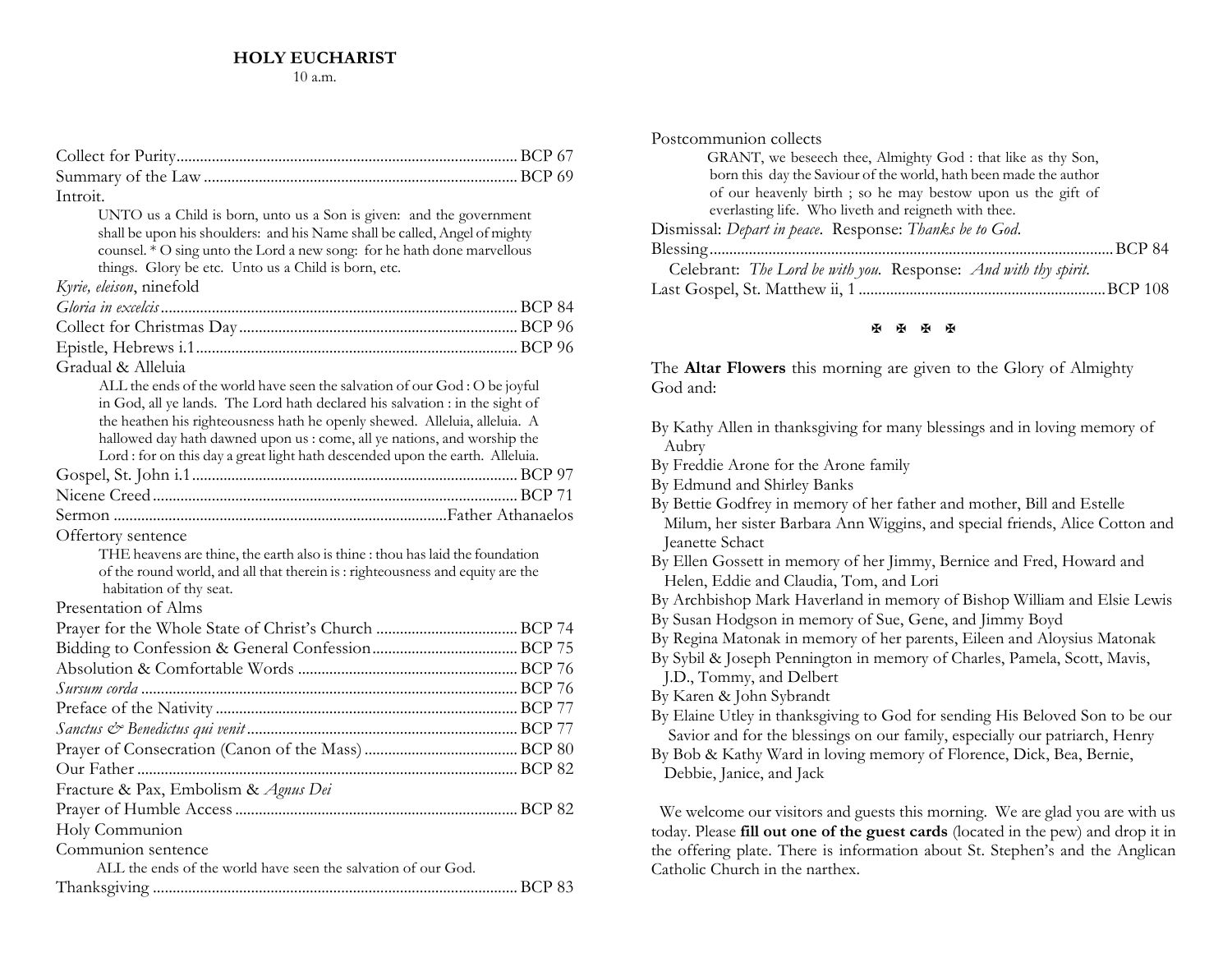| Introit.                                                                                                                                                                                                                                                                                                                                                                                              |  |
|-------------------------------------------------------------------------------------------------------------------------------------------------------------------------------------------------------------------------------------------------------------------------------------------------------------------------------------------------------------------------------------------------------|--|
| UNTO us a Child is born, unto us a Son is given: and the government<br>shall be upon his shoulders: and his Name shall be called, Angel of mighty<br>counsel. * O sing unto the Lord a new song: for he hath done marvellous<br>things. Glory be etc. Unto us a Child is born, etc.                                                                                                                   |  |
| Kyrie, eleison, ninefold                                                                                                                                                                                                                                                                                                                                                                              |  |
|                                                                                                                                                                                                                                                                                                                                                                                                       |  |
|                                                                                                                                                                                                                                                                                                                                                                                                       |  |
|                                                                                                                                                                                                                                                                                                                                                                                                       |  |
| Gradual & Alleluia                                                                                                                                                                                                                                                                                                                                                                                    |  |
| ALL the ends of the world have seen the salvation of our God : O be joyful<br>in God, all ye lands. The Lord hath declared his salvation : in the sight of<br>the heathen his righteousness hath he openly shewed. Alleluia, alleluia. A<br>hallowed day hath dawned upon us : come, all ye nations, and worship the<br>Lord : for on this day a great light hath descended upon the earth. Alleluia. |  |
|                                                                                                                                                                                                                                                                                                                                                                                                       |  |
|                                                                                                                                                                                                                                                                                                                                                                                                       |  |
|                                                                                                                                                                                                                                                                                                                                                                                                       |  |
| Offertory sentence<br>THE heavens are thine, the earth also is thine : thou has laid the foundation<br>of the round world, and all that therein is: righteousness and equity are the<br>habitation of thy seat.                                                                                                                                                                                       |  |
| Presentation of Alms                                                                                                                                                                                                                                                                                                                                                                                  |  |
|                                                                                                                                                                                                                                                                                                                                                                                                       |  |
|                                                                                                                                                                                                                                                                                                                                                                                                       |  |
|                                                                                                                                                                                                                                                                                                                                                                                                       |  |
|                                                                                                                                                                                                                                                                                                                                                                                                       |  |
|                                                                                                                                                                                                                                                                                                                                                                                                       |  |
|                                                                                                                                                                                                                                                                                                                                                                                                       |  |
|                                                                                                                                                                                                                                                                                                                                                                                                       |  |
|                                                                                                                                                                                                                                                                                                                                                                                                       |  |
| Fracture & Pax, Embolism & Agnus Dei                                                                                                                                                                                                                                                                                                                                                                  |  |
|                                                                                                                                                                                                                                                                                                                                                                                                       |  |
| Holy Communion                                                                                                                                                                                                                                                                                                                                                                                        |  |
| Communion sentence                                                                                                                                                                                                                                                                                                                                                                                    |  |
| ALL the ends of the world have seen the salvation of our God.                                                                                                                                                                                                                                                                                                                                         |  |
|                                                                                                                                                                                                                                                                                                                                                                                                       |  |

| Postcommunion collects                                            |  |
|-------------------------------------------------------------------|--|
| GRANT, we beseech thee, Almighty God : that like as thy Son,      |  |
| born this day the Saviour of the world, hath been made the author |  |
| of our heavenly birth ; so he may bestow upon us the gift of      |  |
| everlasting life. Who liveth and reigneth with thee.              |  |
| Dismissal: Depart in peace. Response: Thanks be to God.           |  |
|                                                                   |  |
| Celebrant: The Lord be with you. Response: And with thy spirit.   |  |
|                                                                   |  |

## **图图图图**

The **Altar Flowers** this morning are given to the Glory of Almighty God and:

- By Kathy Allen in thanksgiving for many blessings and in loving memory of Aubry
- By Freddie Arone for the Arone family
- By Edmund and Shirley Banks
- By Bettie Godfrey in memory of her father and mother, Bill and Estelle Milum, her sister Barbara Ann Wiggins, and special friends, Alice Cotton and **Jeanette Schact**
- By Ellen Gossett in memory of her Jimmy, Bernice and Fred, Howard and Helen, Eddie and Claudia, Tom, and Lori
- By Archbishop Mark Haverland in memory of Bishop William and Elsie Lewis
- By Susan Hodgson in memory of Sue, Gene, and Jimmy Boyd
- By Regina Matonak in memory of her parents, Eileen and Aloysius Matonak
- By Sybil & Joseph Pennington in memory of Charles, Pamela, Scott, Mavis,
- J.D., Tommy, and Delbert
- By Karen & John Sybrandt
- By Elaine Utley in thanksgiving to God for sending His Beloved Son to be our Savior and for the blessings on our family, especially our patriarch, Henry
- By Bob & Kathy Ward in loving memory of Florence, Dick, Bea, Bernie, Debbie, Janice, and Jack

We welcome our visitors and guests this morning. We are glad you are with us today. Please fill out one of the guest cards (located in the pew) and drop it in the offering plate. There is information about St. Stephen's and the Anglican Catholic Church in the narthex.